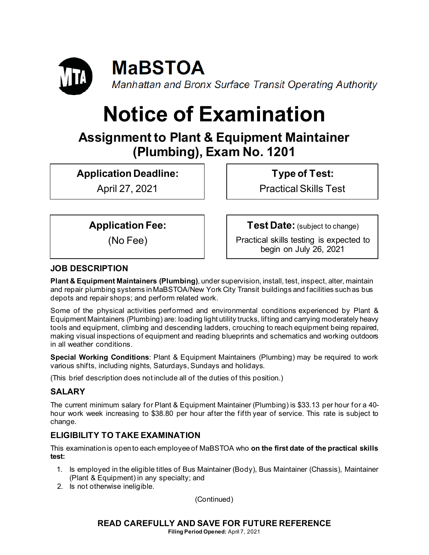

# **Notice of Examination**

# **Assignment to Plant & Equipment Maintainer (Plumbing), Exam No. 1201**

**Application Deadline:**

April 27, 2021

**Type of Test:** 

Practical Skills Test

**Application Fee:**

(No Fee)

**Test Date:** (subject to change)

Practical skills testing is expected to begin on July 26, 2021

# **JOB DESCRIPTION**

**Plant & Equipment Maintainers (Plumbing)**, under supervision, install, test, inspect, alter, maintain and repair plumbing systems in MaBSTOA/New York City Transit buildings and facilities such as bus depots and repair shops; and perform related work.

Some of the physical activities performed and environmental conditions experienced by Plant & Equipment Maintainers (Plumbing) are: loading light utility trucks, lifting and carrying moderately heavy tools and equipment, climbing and descending ladders, crouching to reach equipment being repaired, making visual inspections of equipment and reading blueprints and schematics and working outdoors in all weather conditions.

**Special Working Conditions**: Plant & Equipment Maintainers (Plumbing) may be required to work various shifts, including nights, Saturdays, Sundays and holidays.

(This brief description does not include all of the duties of this position.)

# **SALARY**

The current minimum salary for Plant & Equipment Maintainer (Plumbing) is \$33.13 per hour for a 40 hour work week increasing to \$38.80 per hour after the fifth year of service. This rate is subject to change.

# **ELIGIBILITY TO TAKE EXAMINATION**

This examination is open to each employee of MaBSTOA who **on the first date of the practical skills test:**

- 1. Is employed in the eligible titles of Bus Maintainer (Body), Bus Maintainer (Chassis), Maintainer (Plant & Equipment) in any specialty; and
- 2. Is not otherwise ineligible.

(Continued)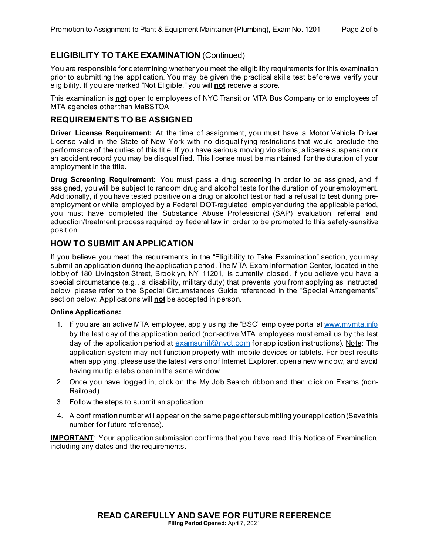# **ELIGIBILITY TO TAKE EXAMINATION** (Continued)

You are responsible for determining whether you meet the eligibility requirements for this examination prior to submitting the application. You may be given the practical skills test before we verify your eligibility. If you are marked "Not Eligible," you will **not** receive a score.

This examination is **not** open to employees of NYC Transit or MTA Bus Company or to employees of MTA agencies other than MaBSTOA.

#### **REQUIREMENTS TO BE ASSIGNED**

**Driver License Requirement:** At the time of assignment, you must have a Motor Vehicle Driver License valid in the State of New York with no disqualifying restrictions that would preclude the performance of the duties of this title. If you have serious moving violations, a license suspension or an accident record you may be disqualified. This license must be maintained for the duration of your employment in the title.

**Drug Screening Requirement:** You must pass a drug screening in order to be assigned, and if assigned, you will be subject to random drug and alcohol tests for the duration of your employment. Additionally, if you have tested positive on a drug or alcohol test or had a refusal to test during preemployment or while employed by a Federal DOT-regulated employer during the applicable period, you must have completed the Substance Abuse Professional (SAP) evaluation, referral and education/treatment process required by federal law in order to be promoted to this safety-sensitive position.

## **HOW TO SUBMIT AN APPLICATION**

If you believe you meet the requirements in the "Eligibility to Take Examination" section, you may submit an application during the application period. The MTA Exam Information Center, located in the lobby of 180 Livingston Street, Brooklyn, NY 11201, is currently closed. If you believe you have a special circumstance (e.g., a disability, military duty) that prevents you from applying as instructed below, please refer to the Special Circumstances Guide referenced in the "Special Arrangements" section below. Applications will **not** be accepted in person.

#### **Online Applications:**

- 1. If you are an active MTA employee, apply using the "BSC" employee portal at [www.mymta.info](http://www.mymta.info/) by the last day of the application period (non-active MTA employees must email us by the last day of the application period at [examsunit@nyct.com](mailto:examsunit@nyct.com) for application instructions). Note: The application system may not function properly with mobile devices or tablets. For best results when applying, please use the latest version of Internet Explorer, open a new window, and avoid having multiple tabs open in the same window.
- 2. Once you have logged in, click on the My Job Search ribbon and then click on Exams (non-Railroad).
- 3. Follow the steps to submit an application.
- 4. A confirmation number will appear on the same page after submitting your application (Save this number for future reference).

**IMPORTANT**: Your application submission confirms that you have read this Notice of Examination, including any dates and the requirements.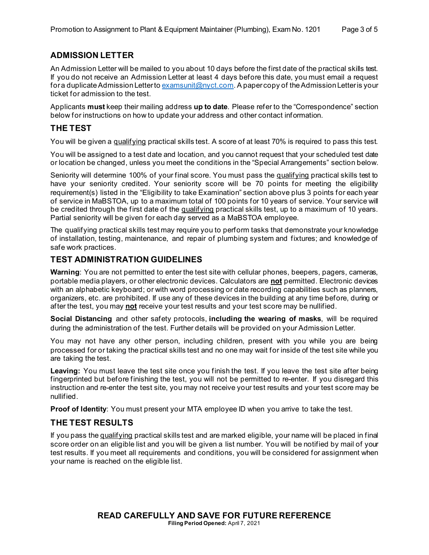# **ADMISSION LETTER**

An Admission Letter will be mailed to you about 10 days before the first date of the practical skills test. If you do not receive an Admission Letter at least 4 days before this date, you must email a request for a duplicate Admission Letter to [examsunit@nyct.com.](mailto:examsunit@nyct.com) A paper copy of the Admission Letter is your ticket for admission to the test.

Applicants **must** keep their mailing address **up to date**. Please refer to the "Correspondence" section below for instructions on how to update your address and other contact information.

# **THE TEST**

You will be given a qualifying practical skills test. A score of at least 70% is required to pass this test.

You will be assigned to a test date and location, and you cannot request that your scheduled test date or location be changed, unless you meet the conditions in the "Special Arrangements" section below.

Seniority will determine 100% of your final score. You must pass the qualifying practical skills test to have your seniority credited. Your seniority score will be 70 points for meeting the eligibility requirement(s) listed in the "Eligibility to take Examination" section above plus 3 points for each year of service in MaBSTOA, up to a maximum total of 100 points for 10 years of service. Your service will be credited through the first date of the qualifying practical skills test, up to a maximum of 10 years. Partial seniority will be given for each day served as a MaBSTOA employee.

The qualifying practical skills test may require you to perform tasks that demonstrate your knowledge of installation, testing, maintenance, and repair of plumbing system and fixtures; and knowledge of safe work practices.

## **TEST ADMINISTRATION GUIDELINES**

**Warning**: You are not permitted to enter the test site with cellular phones, beepers, pagers, cameras, portable media players, or other electronic devices. Calculators are **not** permitted. Electronic devices with an alphabetic keyboard; or with word processing or date recording capabilities such as planners, organizers, etc. are prohibited. If use any of these devices in the building at any time before, during or after the test, you may **not** receive your test results and your test score may be nullified.

**Social Distancing** and other safety protocols, **including the wearing of masks**, will be required during the administration of the test. Further details will be provided on your Admission Letter.

You may not have any other person, including children, present with you while you are being processed for or taking the practical skills test and no one may wait for inside of the test site while you are taking the test.

**Leaving:** You must leave the test site once you finish the test. If you leave the test site after being fingerprinted but before finishing the test, you will not be permitted to re-enter. If you disregard this instruction and re-enter the test site, you may not receive your test results and your test score may be nullified.

**Proof of Identity**: You must present your MTA employee ID when you arrive to take the test.

#### **THE TEST RESULTS**

If you pass the qualifying practical skills test and are marked eligible, your name will be placed in final score order on an eligible list and you will be given a list number. You will be notified by mail of your test results. If you meet all requirements and conditions, you will be considered for assignment when your name is reached on the eligible list.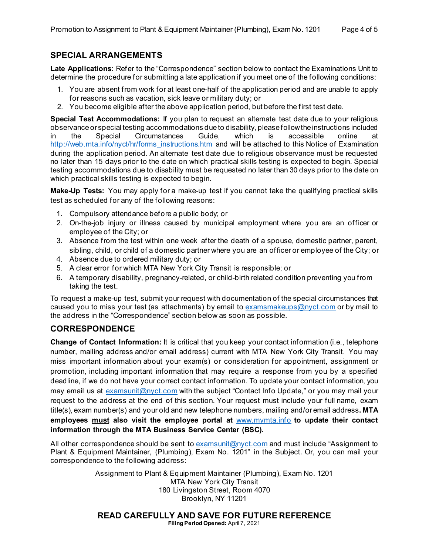# **SPECIAL ARRANGEMENTS**

**Late Applications**: Refer to the "Correspondence" section below to contact the Examinations Unit to determine the procedure for submitting a late application if you meet one of the following conditions:

- 1. You are absent from work for at least one-half of the application period and are unable to apply for reasons such as vacation, sick leave or military duty; or
- 2. You become eligible after the above application period, but before the first test date.

**Special Test Accommodations:** If you plan to request an alternate test date due to your religious observance or special testing accommodations due to disability, please follow the instructions included in the Special Circumstances Guide, which is accessible online at [http://web.mta.info/nyct/hr/forms\\_instructions.htm](http://web.mta.info/nyct/hr/forms_instructions.htm) and will be attached to this Notice of Examination during the application period. An alternate test date due to religious observance must be requested no later than 15 days prior to the date on which practical skills testing is expected to begin. Special testing accommodations due to disability must be requested no later than 30 days prior to the date on which practical skills testing is expected to begin.

**Make-Up Tests:** You may apply for a make-up test if you cannot take the qualifying practical skills test as scheduled for any of the following reasons:

- 1. Compulsory attendance before a public body; or
- 2. On-the-job injury or illness caused by municipal employment where you are an officer or employee of the City; or
- 3. Absence from the test within one week after the death of a spouse, domestic partner, parent, sibling, child, or child of a domestic partner where you are an officer or employee of the City; or
- 4. Absence due to ordered military duty; or
- 5. A clear error for which MTA New York City Transit is responsible; or
- 6. A temporary disability, pregnancy-related, or child-birth related condition preventing you from taking the test.

To request a make-up test, submit your request with documentation of the special circumstances that caused you to miss your test (as attachments) by email to  $examsmakeups@nyct.com$  or by mail to the address in the "Correspondence" section below as soon as possible.

# **CORRESPONDENCE**

**Change of Contact Information:** It is critical that you keep your contact information (i.e., telephone number, mailing address and/or email address) current with MTA New York City Transit. You may miss important information about your exam(s) or consideration for appointment, assignment or promotion, including important information that may require a response from you by a specified deadline, if we do not have your correct contact information. To update your contact information, you may email us at [examsunit@nyct.com](mailto:examsunit@nyct.com) with the subject "Contact Info Update," or you may mail your request to the address at the end of this section. Your request must include your full name, exam title(s), exam number(s) and your old and new telephone numbers, mailing and/or email address**. MTA employees must also visit the employee portal at** [www.mymta.info](http://www.mymta.info/) **to update their contact information through the MTA Business Service Center (BSC).**

All other correspondence should be sent to [examsunit@nyct.com](mailto:examsunit@nyct.com) and must include "Assignment to Plant & Equipment Maintainer, (Plumbing), Exam No. 1201" in the Subject. Or, you can mail your correspondence to the following address:

> Assignment to Plant & Equipment Maintainer (Plumbing), Exam No. 1201 MTA New York City Transit 180 Livingston Street, Room 4070 Brooklyn, NY 11201

**READ CAREFULLY AND SAVE FOR FUTURE REFERENCE Filing Period Opened:** April 7, 2021